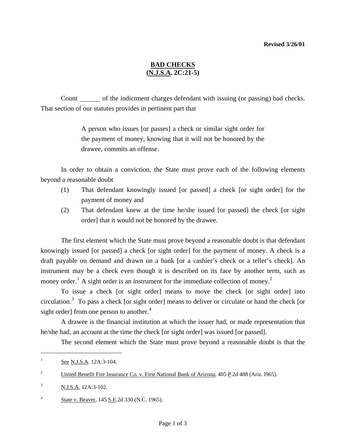#### **Revised 3/26/01**

# **BAD CHECKS (N.J.S.A. 2C:21-5)**

Count only of the indictment charges defendant with issuing (or passing) bad checks. That section of our statutes provides in pertinent part that

> A person who issues [or passes] a check or similar sight order for the payment of money, knowing that it will not be honored by the drawee, commits an offense.

 In order to obtain a conviction, the State must prove each of the following elements beyond a reasonable doubt

- (1) That defendant knowingly issued [or passed] a check [or sight order] for the payment of money and
- (2) That defendant knew at the time he/she issued [or passed] the check [or sight order] that it would not be honored by the drawee.

 The first element which the State must prove beyond a reasonable doubt is that defendant knowingly issued [or passed] a check [or sight order] for the payment of money. A check is a draft payable on demand and drawn on a bank [or a cashier's check or a teller's check]. An instrument may be a check even though it is described on its face by another term, such as money order.<sup>[1](#page-1-0)</sup> A sight order is an instrument for the immediate collection of money.<sup>[2](#page-0-0)</sup>

To issue a check [or sight order] means to move the check [or sight order] into circulation.<sup>[3](#page-0-1)</sup> To pass a check [or sight order] means to deliver or circulate or hand the check [or sight order] from one person to another. $4$ 

A drawee is the financial institution at which the issuer had, or made representation that he/she had, an account at the time the check [or sight order] was issued [or passed].

The second element which the State must prove beyond a reasonable doubt is that the

<span id="page-0-3"></span>l

<sup>&</sup>lt;sup>1</sup> See N.J.S.A. 12A:3-104.

<span id="page-0-0"></span><sup>&</sup>lt;sup>2</sup> United Benefit Fire Insurance Co. v. First National Bank of Arizona, 405 P.2d 488 (Ariz. 1965).

<span id="page-0-1"></span><sup>3</sup> N.J.S.A. 12A:3-102.

<span id="page-0-2"></span><sup>&</sup>lt;sup>4</sup> State v. Beaver, 145 S.E. 2d 330 (N.C. 1965).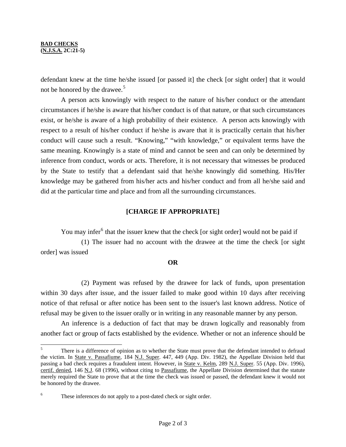$\overline{a}$ 

defendant knew at the time he/she issued [or passed it] the check [or sight order] that it would not be honored by the drawee.<sup>[5](#page-0-3)</sup>

 A person acts knowingly with respect to the nature of his/her conduct or the attendant circumstances if he/she is aware that his/her conduct is of that nature, or that such circumstances exist, or he/she is aware of a high probability of their existence. A person acts knowingly with respect to a result of his/her conduct if he/she is aware that it is practically certain that his/her conduct will cause such a result. "Knowing," "with knowledge," or equivalent terms have the same meaning. Knowingly is a state of mind and cannot be seen and can only be determined by inference from conduct, words or acts. Therefore, it is not necessary that witnesses be produced by the State to testify that a defendant said that he/she knowingly did something. His/Her knowledge may be gathered from his/her acts and his/her conduct and from all he/she said and did at the particular time and place and from all the surrounding circumstances.

## **[CHARGE IF APPROPRIATE]**

You may infer<sup>[6](#page-1-1)</sup> that the issuer knew that the check [or sight order] would not be paid if

 (1) The issuer had no account with the drawee at the time the check [or sight order] was issued

## **OR**

 (2) Payment was refused by the drawee for lack of funds, upon presentation within 30 days after issue, and the issuer failed to make good within 10 days after receiving notice of that refusal or after notice has been sent to the issuer's last known address. Notice of refusal may be given to the issuer orally or in writing in any reasonable manner by any person.

 An inference is a deduction of fact that may be drawn logically and reasonably from another fact or group of facts established by the evidence. Whether or not an inference should be

<span id="page-1-0"></span><sup>5</sup> There is a difference of opinion as to whether the State must prove that the defendant intended to defraud the victim. In State v. Passafiume, 184 N.J. Super. 447, 449 (App. Div. 1982), the Appellate Division held that passing a bad check requires a fraudulent intent. However, in State v. Kelm, 289 N.J. Super. 55 (App. Div. 1996), certif. denied, 146 N.J. 68 (1996), without citing to Passafiume, the Appellate Division determined that the statute merely required the State to prove that at the time the check was issued or passed, the defendant knew it would not be honored by the drawee.

<span id="page-1-1"></span><sup>6</sup> These inferences do not apply to a post-dated check or sight order.